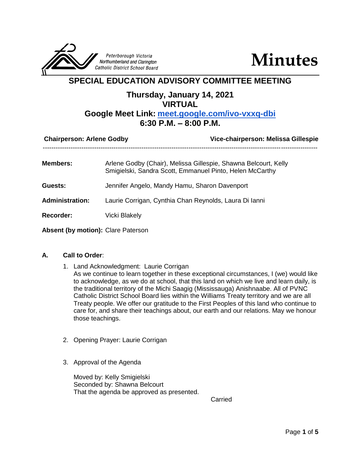

**Minutes**

# **SPECIAL EDUCATION ADVISORY COMMITTEE MEETING**

# **Thursday, January 14, 2021**

## **VIRTUAL**

# **Google Meet Link: [meet.google.com/ivo-vxxq-dbi](http://meet.google.com/ivo-vxxq-dbi)**

## **6:30 P.M. – 8:00 P.M.**

| <b>Chairperson: Arlene Godby</b> |                                                                                                                             | Vice-chairperson: Melissa Gillespie |
|----------------------------------|-----------------------------------------------------------------------------------------------------------------------------|-------------------------------------|
| <b>Members:</b>                  | Arlene Godby (Chair), Melissa Gillespie, Shawna Belcourt, Kelly<br>Smigielski, Sandra Scott, Emmanuel Pinto, Helen McCarthy |                                     |
| <b>Guests:</b>                   | Jennifer Angelo, Mandy Hamu, Sharon Davenport                                                                               |                                     |
| <b>Administration:</b>           | Laurie Corrigan, Cynthia Chan Reynolds, Laura Di Ianni                                                                      |                                     |
| <b>Recorder:</b>                 | Vicki Blakely                                                                                                               |                                     |
|                                  |                                                                                                                             |                                     |

# **Absent (by motion):** Clare Paterson

#### **A. Call to Order**:

- 1. Land Acknowledgment: Laurie Corrigan
	- As we continue to learn together in these exceptional circumstances, I (we) would like to acknowledge, as we do at school, that this land on which we live and learn daily, is the traditional territory of the Michi Saagig (Mississauga) Anishnaabe. All of PVNC Catholic District School Board lies within the Williams Treaty territory and we are all Treaty people. We offer our gratitude to the First Peoples of this land who continue to care for, and share their teachings about, our earth and our relations. May we honour those teachings.
- 2. Opening Prayer: Laurie Corrigan
- 3. Approval of the Agenda

Moved by: Kelly Smigielski Seconded by: Shawna Belcourt That the agenda be approved as presented.

Carried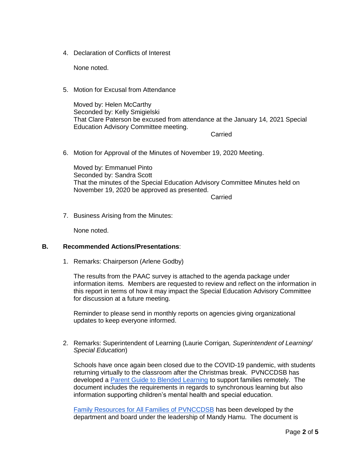4. Declaration of Conflicts of Interest

None noted.

5. Motion for Excusal from Attendance

Moved by: Helen McCarthy Seconded by: Kelly Smigielski That Clare Paterson be excused from attendance at the January 14, 2021 Special Education Advisory Committee meeting.

Carried

6. Motion for Approval of the Minutes of November 19, 2020 Meeting.

Moved by: Emmanuel Pinto Seconded by: Sandra Scott That the minutes of the Special Education Advisory Committee Minutes held on November 19, 2020 be approved as presented.

**Carried** 

7. Business Arising from the Minutes:

None noted.

#### **B. Recommended Actions/Presentations**:

1. Remarks: Chairperson (Arlene Godby)

The results from the PAAC survey is attached to the agenda package under information items. Members are requested to review and reflect on the information in this report in terms of how it may impact the Special Education Advisory Committee for discussion at a future meeting.

Reminder to please send in monthly reports on agencies giving organizational updates to keep everyone informed.

2. Remarks: Superintendent of Learning (Laurie Corrigan*, Superintendent of Learning/ Special Education*)

Schools have once again been closed due to the COVID-19 pandemic, with students returning virtually to the classroom after the Christmas break. PVNCCDSB has developed a [Parent Guide to Blended Learning](https://docs.google.com/document/d/1n1xw55VMNieaQsk6mmfS6WU_nqMER4-6y63H68Vf7fw/edit) to support families remotely. The document includes the requirements in regards to synchronous learning but also information supporting children's mental health and special education.

[Family Resources for All Families of PVNCCDSB](https://www.pvnccdsb.on.ca/wp-content/uploads/2021/01/Community-Resources-for-All-Families-of-PVNC.pdf) has been developed by the department and board under the leadership of Mandy Hamu. The document is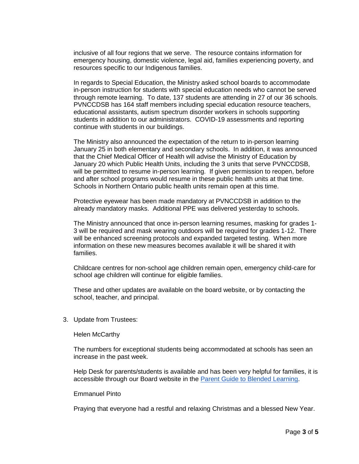inclusive of all four regions that we serve. The resource contains information for emergency housing, domestic violence, legal aid, families experiencing poverty, and resources specific to our Indigenous families.

In regards to Special Education, the Ministry asked school boards to accommodate in-person instruction for students with special education needs who cannot be served through remote learning. To date, 137 students are attending in 27 of our 36 schools. PVNCCDSB has 164 staff members including special education resource teachers, educational assistants, autism spectrum disorder workers in schools supporting students in addition to our administrators. COVID-19 assessments and reporting continue with students in our buildings.

The Ministry also announced the expectation of the return to in-person learning January 25 in both elementary and secondary schools. In addition, it was announced that the Chief Medical Officer of Health will advise the Ministry of Education by January 20 which Public Health Units, including the 3 units that serve PVNCCDSB, will be permitted to resume in-person learning. If given permission to reopen, before and after school programs would resume in these public health units at that time. Schools in Northern Ontario public health units remain open at this time.

Protective eyewear has been made mandatory at PVNCCDSB in addition to the already mandatory masks. Additional PPE was delivered yesterday to schools.

The Ministry announced that once in-person learning resumes, masking for grades 1- 3 will be required and mask wearing outdoors will be required for grades 1-12. There will be enhanced screening protocols and expanded targeted testing. When more information on these new measures becomes available it will be shared it with families.

Childcare centres for non-school age children remain open, emergency child-care for school age children will continue for eligible families.

These and other updates are available on the board website, or by contacting the school, teacher, and principal.

3. Update from Trustees:

Helen McCarthy

The numbers for exceptional students being accommodated at schools has seen an increase in the past week.

Help Desk for parents/students is available and has been very helpful for families, it is accessible through our Board website in the [Parent Guide to Blended Learning.](https://docs.google.com/document/d/1n1xw55VMNieaQsk6mmfS6WU_nqMER4-6y63H68Vf7fw/edit)

#### Emmanuel Pinto

Praying that everyone had a restful and relaxing Christmas and a blessed New Year.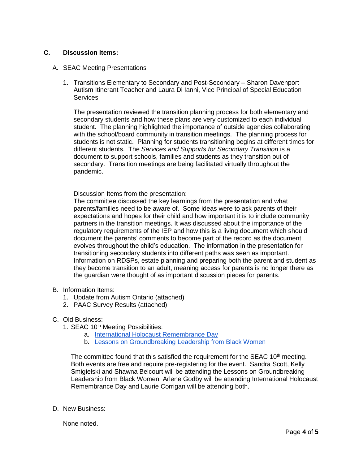#### **C. Discussion Items:**

- A. SEAC Meeting Presentations
	- 1. Transitions Elementary to Secondary and Post-Secondary Sharon Davenport Autism Itinerant Teacher and Laura Di Ianni, Vice Principal of Special Education **Services**

The presentation reviewed the transition planning process for both elementary and secondary students and how these plans are very customized to each individual student. The planning highlighted the importance of outside agencies collaborating with the school/board community in transition meetings. The planning process for students is not static. Planning for students transitioning begins at different times for different students. The *Services and Supports for Secondary Transition* is a document to support schools, families and students as they transition out of secondary. Transition meetings are being facilitated virtually throughout the pandemic.

Discussion Items from the presentation:

The committee discussed the key learnings from the presentation and what parents/families need to be aware of. Some ideas were to ask parents of their expectations and hopes for their child and how important it is to include community partners in the transition meetings. It was discussed about the importance of the regulatory requirements of the IEP and how this is a living document which should document the parents' comments to become part of the record as the document evolves throughout the child's education. The information in the presentation for transitioning secondary students into different paths was seen as important. Information on RDSPs, estate planning and preparing both the parent and student as they become transition to an adult, meaning access for parents is no longer there as the guardian were thought of as important discussion pieces for parents.

- B. Information Items:
	- 1. Update from Autism Ontario (attached)
	- 2. PAAC Survey Results (attached)
- C. Old Business:
	- 1. SEAC 10<sup>th</sup> Meeting Possibilities:
		- a. [International Holocaust](https://assets-global.website-files.com/578f91a7337a79e75e95a0e4/5fda10fb9ed396bad779f87d_IHRD%202021.pdf) Remembrance Day
		- b. [Lessons on Groundbreaking Leadership from Black Women](https://hrs.humber.ca/human-rights-equity-diversity/humber-college-international-womens-day-forum/iwd2021.html)

The committee found that this satisfied the requirement for the SEAC  $10<sup>th</sup>$  meeting. Both events are free and require pre-registering for the event. Sandra Scott, Kelly Smigielski and Shawna Belcourt will be attending the Lessons on Groundbreaking Leadership from Black Women, Arlene Godby will be attending International Holocaust Remembrance Day and Laurie Corrigan will be attending both.

D. New Business:

None noted.